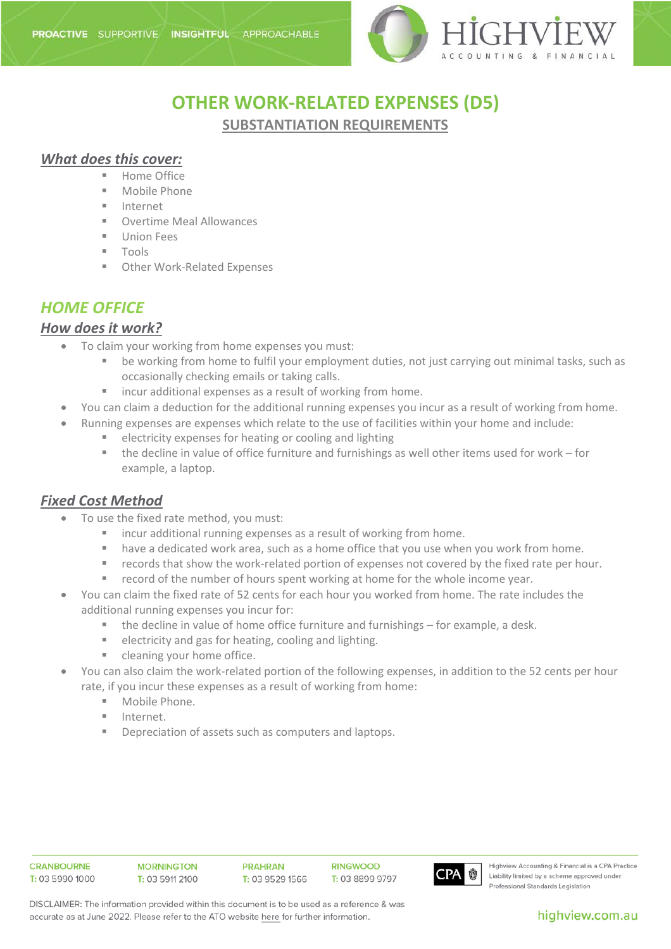

# **OTHER WORK-RELATED EXPENSES (D5)**

**SUBSTANTIATION REQUIREMENTS**

### *What does this cover:*

- **Home Office**
- **Mobile Phone**
- Internet
- **DECOVERGIVE MEAL Allowances**
- **Union Fees**
- **Tools**
- Other Work-Related Expenses

# *HOME OFFICE*

### *How does it work?*

- To claim your working from home expenses you must:
	- be working from home to fulfil your employment duties, not just carrying out minimal tasks, such as occasionally checking emails or taking calls.
	- incur additional expenses as a result of working from home.
- You can claim a deduction for the additional running expenses you incur as a result of working from home.
- Running expenses are expenses which relate to the use of facilities within your home and include:
	- **EXECTER EXPENSES FOR HEATING OF COOLING AND READILY EXPENSION**
	- the decline in value of office furniture and furnishings as well other items used for work for example, a laptop.

### *Fixed Cost Method*

- To use the fixed rate method, you must:
	- **EXEDENT IF 2018 INCO 2018 INCO 2018 INCO 2018 INCO 2018 INCO 2018 INCO 2018 INCO 2018 INCO 2018 INCO 2019 INCO 2018 INCO 2019 INCO 2019 INCO 2019 INCO 2019 INCO 2019 INCO 2019 INCO 2019 INCO 2019 INCO 2019 INCO 2019 INCO**
	- **•** have a dedicated work area, such as a home office that you use when you work from home.
	- **F** records that show the work-related portion of expenses not covered by the fixed rate per hour.
	- record of the number of hours spent working at home for the whole income year.
- You can claim the fixed rate of 52 cents for each hour you worked from home. The rate includes the additional running expenses you incur for:
	- the decline in value of home office furniture and furnishings for example, a desk.
	- electricity and gas for heating, cooling and lighting.
	- cleaning your home office.
- You can also claim the work-related portion of the following expenses, in addition to the 52 cents per hour rate, if you incur these expenses as a result of working from home:
	- **Mobile Phone.**
	- Internet.
	- Depreciation of assets such as computers and laptops.



Highview Accounting & Financial is a CPA Practice Liability limited by a scheme approved under Professional Standards Legislation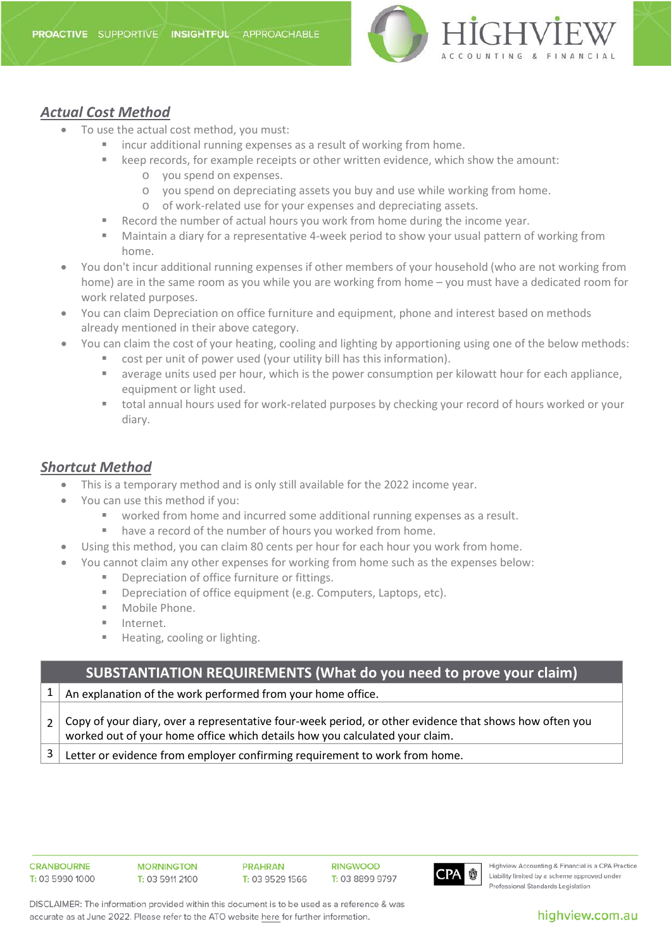

### *Actual Cost Method*

- To use the actual cost method, you must:
	- incur additional running expenses as a result of working from home.
	- **EXA** keep records, for example receipts or other written evidence, which show the amount:
		- o you spend on expenses.
		- o you spend on depreciating assets you buy and use while working from home.
		- o of work-related use for your expenses and depreciating assets.
	- Record the number of actual hours you work from home during the income year.
	- Maintain a diary for a representative 4-week period to show your usual pattern of working from home.
- You don't incur additional running expenses if other members of your household (who are not working from home) are in the same room as you while you are working from home – you must have a dedicated room for work related purposes.
- You can claim Depreciation on office furniture and equipment, phone and interest based on methods already mentioned in their above category.
- You can claim the cost of your heating, cooling and lighting by apportioning using one of the below methods:
	- cost per unit of power used (your utility bill has this information).
	- average units used per hour, which is the power consumption per kilowatt hour for each appliance, equipment or light used.
	- total annual hours used for work-related purposes by checking your record of hours worked or your diary.

### *Shortcut Method*

- This is a temporary method and is only still available for the 2022 income year.
- You can use this method if you:
	- worked from home and incurred some additional running expenses as a result.
	- have a record of the number of hours you worked from home.
	- Using this method, you can claim 80 cents per hour for each hour you work from home.
- You cannot claim any other expenses for working from home such as the expenses below:
	- Depreciation of office furniture or fittings.
	- **Depreciation of office equipment (e.g. Computers, Laptops, etc).**
	- **Mobile Phone.**
	- **Internet.**
	- **Heating, cooling or lighting.**

# **SUBSTANTIATION REQUIREMENTS (What do you need to prove your claim)**  $1 \mid$  An explanation of the work performed from your home office. 2 Copy of your diary, over a representative four-week period, or other evidence that shows how often you worked out of your home office which details how you calculated your claim.  $3 \mid$  Letter or evidence from employer confirming requirement to work from home.

**CRANROURNE** T: 03 5990 1000 **PRAHRAN** T: 03 9529 1566

**RINGWOOD** T. 03 8899 9797



Highview Accounting & Financial is a CPA Practice Liability limited by a scheme approved under Professional Standards Legislation

DISCLAIMER: The information provided within this document is to be used as a reference & was accurate as at June 2022. Please refer to the ATO website here for further information.

#### highview.com.au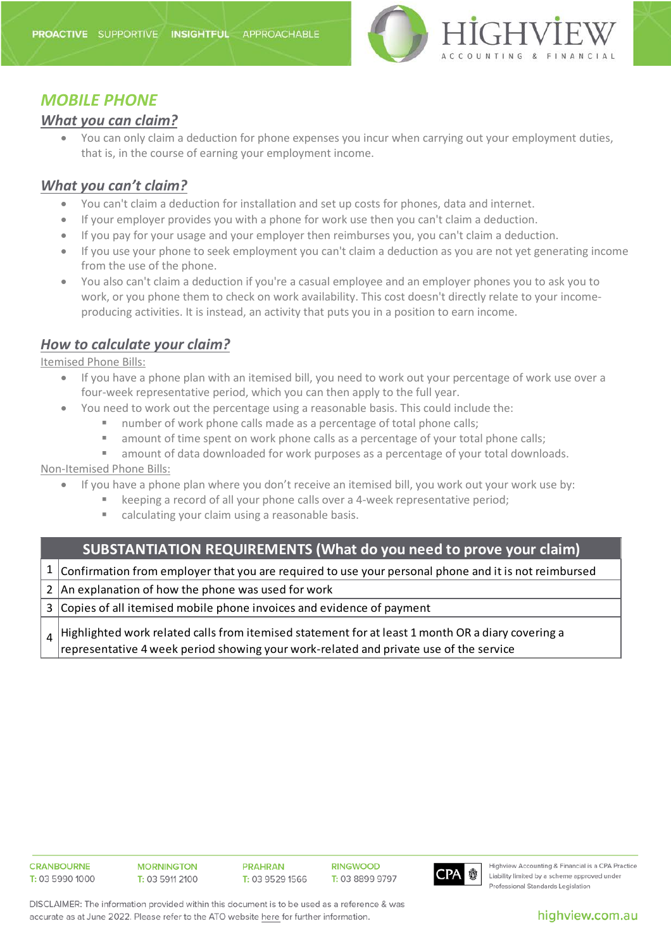

### *MOBILE PHONE*

### *What you can claim?*

• You can only claim a deduction for phone expenses you incur when carrying out your employment duties, that is, in the course of earning your employment income.

### *What you can't claim?*

- You can't claim a deduction for installation and set up costs for phones, data and internet.
- If your employer provides you with a phone for work use then you can't claim a deduction.
- If you pay for your usage and your employer then reimburses you, you can't claim a deduction.
- If you use your phone to seek employment you can't claim a deduction as you are not yet generating income from the use of the phone.
- You also can't claim a deduction if you're a casual employee and an employer phones you to ask you to work, or you phone them to check on work availability. This cost doesn't directly relate to your incomeproducing activities. It is instead, an activity that puts you in a position to earn income.

### *How to calculate your claim?*

Itemised Phone Bills:

- If you have a phone plan with an itemised bill, you need to work out your percentage of work use over a four-week representative period, which you can then apply to the full year.
- You need to work out the percentage using a reasonable basis. This could include the:
	- number of work phone calls made as a percentage of total phone calls;
	- amount of time spent on work phone calls as a percentage of your total phone calls;
	- amount of data downloaded for work purposes as a percentage of your total downloads.

#### Non-Itemised Phone Bills:

- If you have a phone plan where you don't receive an itemised bill, you work out your work use by:
	- keeping a record of all your phone calls over a 4-week representative period;
		- calculating your claim using a reasonable basis.

### **SUBSTANTIATION REQUIREMENTS (What do you need to prove your claim)**

 $1$   $\vert$  Confirmation from employer that you are required to use your personal phone and it is not reimbursed

2 An explanation of how the phone was used for work

3 Copies of all itemised mobile phone invoices and evidence of payment

4 Highlighted work related calls from itemised statement for at least 1 month OR a diary covering a representative 4 week period showing your work-related and private use of the service



Highview Accounting & Financial is a CPA Practice Liability limited by a scheme approved under Professional Standards Legislation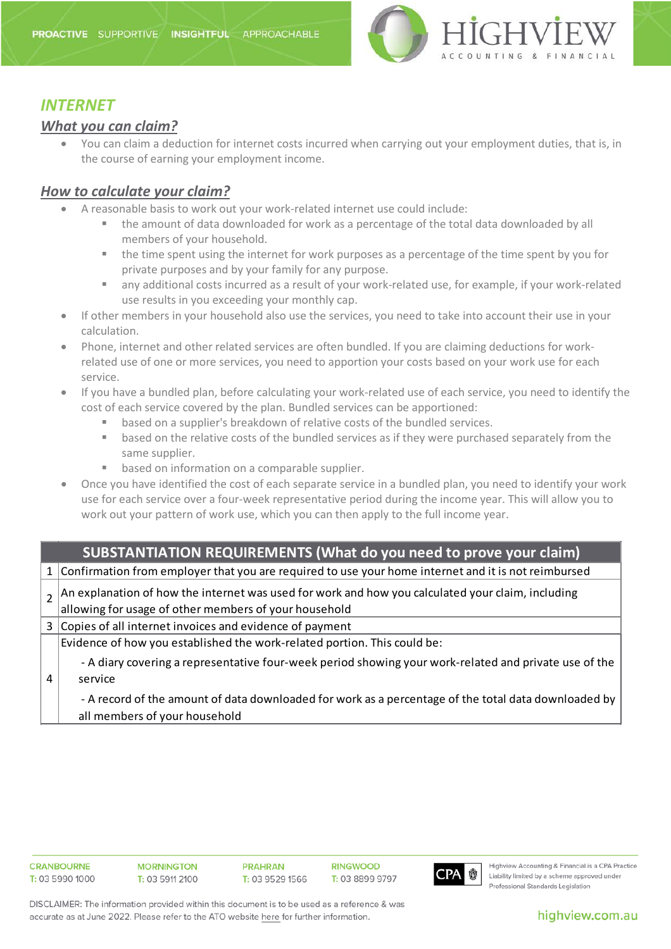

### *INTERNET*

### *What you can claim?*

• You can claim a deduction for internet costs incurred when carrying out your employment duties, that is, in the course of earning your employment income.

### *How to calculate your claim?*

- A reasonable basis to work out your work-related internet use could include:
	- the amount of data downloaded for work as a percentage of the total data downloaded by all members of your household.
	- the time spent using the internet for work purposes as a percentage of the time spent by you for private purposes and by your family for any purpose.
	- any additional costs incurred as a result of your work-related use, for example, if your work-related use results in you exceeding your monthly cap.
- If other members in your household also use the services, you need to take into account their use in your calculation.
- Phone, internet and other related services are often bundled. If you are claiming deductions for workrelated use of one or more services, you need to apportion your costs based on your work use for each service.
- If you have a bundled plan, before calculating your work-related use of each service, you need to identify the cost of each service covered by the plan. Bundled services can be apportioned:
	- based on a supplier's breakdown of relative costs of the bundled services.
	- **•** based on the relative costs of the bundled services as if they were purchased separately from the same supplier.
	- **B** based on information on a comparable supplier.
- Once you have identified the cost of each separate service in a bundled plan, you need to identify your work use for each service over a four-week representative period during the income year. This will allow you to work out your pattern of work use, which you can then apply to the full income year.

| <b>SUBSTANTIATION REQUIREMENTS (What do you need to prove your claim)</b> |                                                                                                       |  |
|---------------------------------------------------------------------------|-------------------------------------------------------------------------------------------------------|--|
|                                                                           | 1 Confirmation from employer that you are required to use your home internet and it is not reimbursed |  |
|                                                                           | An explanation of how the internet was used for work and how you calculated your claim, including     |  |
|                                                                           | allowing for usage of other members of your household                                                 |  |
|                                                                           | 3 Copies of all internet invoices and evidence of payment                                             |  |
|                                                                           | Evidence of how you established the work-related portion. This could be:                              |  |
|                                                                           | - A diary covering a representative four-week period showing your work-related and private use of the |  |
|                                                                           | service                                                                                               |  |
|                                                                           | - A record of the amount of data downloaded for work as a percentage of the total data downloaded by  |  |
|                                                                           | all members of your household                                                                         |  |



Highview Accounting & Financial is a CPA Practice Liability limited by a scheme approved under Professional Standards Legislation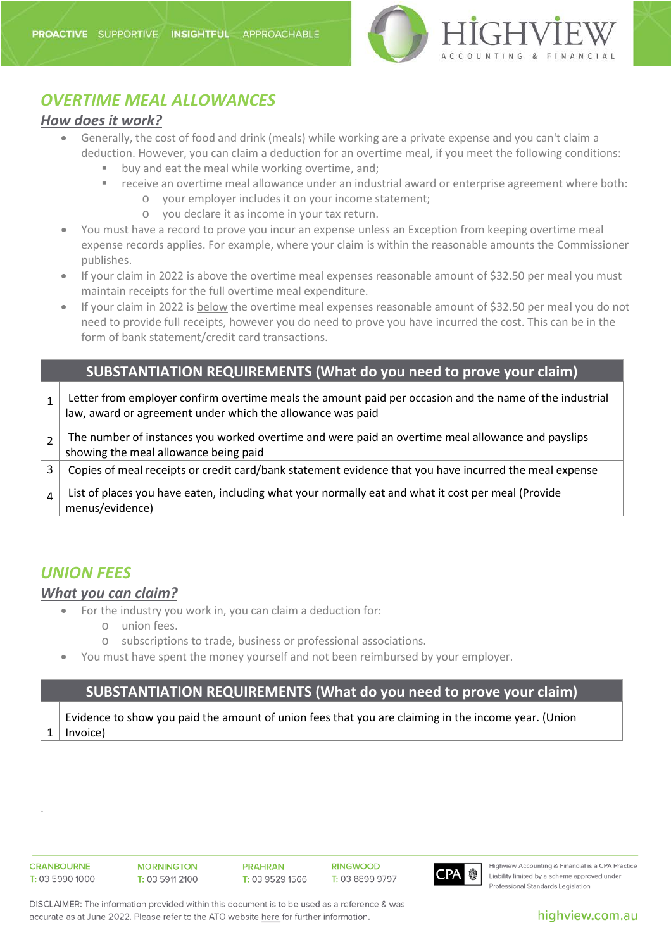

# *OVERTIME MEAL ALLOWANCES*

#### *How does it work?*

- Generally, the cost of food and drink (meals) while working are a private expense and you can't claim a deduction. However, you can claim a deduction for an overtime meal, if you meet the following conditions:
	- buy and eat the meal while working overtime, and;
	- receive an overtime meal allowance under an industrial award or enterprise agreement where both:
		- o your employer includes it on your income statement;
		- o you declare it as income in your tax return.
- You must have a record to prove you incur an expense unless an [Exception from keeping overtime meal](https://www.ato.gov.au/Individuals/Income-and-deductions/Deductions-you-can-claim/Other-work-related-deductions/Overtime-meal-expenses/Exceptions-for-keeping-overtime-meal-expenses-records/)  [expense records](https://www.ato.gov.au/Individuals/Income-and-deductions/Deductions-you-can-claim/Other-work-related-deductions/Overtime-meal-expenses/Exceptions-for-keeping-overtime-meal-expenses-records/) applies. For example, where your claim is within the reasonable amounts the Commissioner publishes.
- If your claim in 2022 is above the overtime meal expenses reasonable amount of \$32.50 per meal you must maintain receipts for the full overtime meal expenditure.
- If your claim in 2022 is below the overtime meal expenses reasonable amount of \$32.50 per meal you do not need to provide full receipts, however you do need to prove you have incurred the cost. This can be in the form of bank statement/credit card transactions.

| <b>SUBSTANTIATION REQUIREMENTS (What do you need to prove your claim)</b> |                                                                                                                                                                       |  |
|---------------------------------------------------------------------------|-----------------------------------------------------------------------------------------------------------------------------------------------------------------------|--|
|                                                                           | Letter from employer confirm overtime meals the amount paid per occasion and the name of the industrial<br>law, award or agreement under which the allowance was paid |  |
| $\mathcal{P}$                                                             | The number of instances you worked overtime and were paid an overtime meal allowance and payslips<br>showing the meal allowance being paid                            |  |
|                                                                           | Copies of meal receipts or credit card/bank statement evidence that you have incurred the meal expense                                                                |  |
| $\overline{4}$                                                            | List of places you have eaten, including what your normally eat and what it cost per meal (Provide<br>menus/evidence)                                                 |  |

## *UNION FEES*

#### *What you can claim?*

- For the industry you work in, you can claim a deduction for:
	- o union fees.
	- o subscriptions to trade, business or professional associations.
- You must have spent the money yourself and not been reimbursed by your employer.

#### **SUBSTANTIATION REQUIREMENTS (What do you need to prove your claim)**

1 Evidence to show you paid the amount of union fees that you are claiming in the income year. (Union Invoice)

.

**RINGWOOD** T: 03 8899 9797



Highview Accounting & Financial is a CPA Practice Liability limited by a scheme approved under Professional Standards Legislation